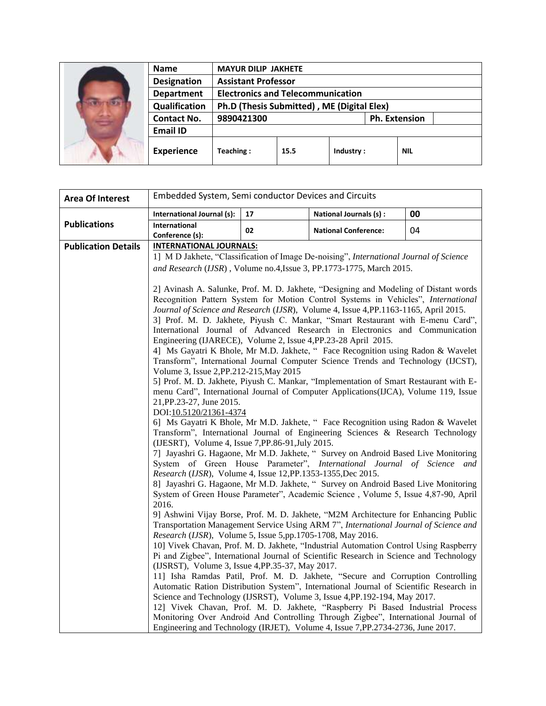| <b>Name</b>        | <b>MAYUR DILIP JAKHETE</b>                 |      |           |  |                      |
|--------------------|--------------------------------------------|------|-----------|--|----------------------|
| <b>Designation</b> | <b>Assistant Professor</b>                 |      |           |  |                      |
| <b>Department</b>  | <b>Electronics and Telecommunication</b>   |      |           |  |                      |
| Qualification      | Ph.D (Thesis Submitted), ME (Digital Elex) |      |           |  |                      |
| <b>Contact No.</b> | 9890421300                                 |      |           |  | <b>Ph. Extension</b> |
| <b>Email ID</b>    |                                            |      |           |  |                      |
| <b>Experience</b>  | Teaching:                                  | 15.5 | Industry: |  | <b>NIL</b>           |

| <b>Area Of Interest</b>    | Embedded System, Semi conductor Devices and Circuits           |    |                                                                                                                                                                        |    |
|----------------------------|----------------------------------------------------------------|----|------------------------------------------------------------------------------------------------------------------------------------------------------------------------|----|
|                            | International Journal (s):                                     | 17 | National Journals (s) :                                                                                                                                                | 00 |
| <b>Publications</b>        | International<br>Conference (s):                               | 02 | <b>National Conference:</b>                                                                                                                                            | 04 |
| <b>Publication Details</b> | <b>INTERNATIONAL JOURNALS:</b>                                 |    |                                                                                                                                                                        |    |
|                            |                                                                |    | 1] M D Jakhete, "Classification of Image De-noising", International Journal of Science                                                                                 |    |
|                            |                                                                |    | and Research (IJSR), Volume no.4, Issue 3, PP.1773-1775, March 2015.                                                                                                   |    |
|                            |                                                                |    |                                                                                                                                                                        |    |
|                            |                                                                |    | 2] Avinash A. Salunke, Prof. M. D. Jakhete, "Designing and Modeling of Distant words                                                                                   |    |
|                            |                                                                |    | Recognition Pattern System for Motion Control Systems in Vehicles", International                                                                                      |    |
|                            |                                                                |    | Journal of Science and Research (IJSR), Volume 4, Issue 4, PP.1163-1165, April 2015.<br>3] Prof. M. D. Jakhete, Piyush C. Mankar, "Smart Restaurant with E-menu Card", |    |
|                            |                                                                |    | International Journal of Advanced Research in Electronics and Communication                                                                                            |    |
|                            | Engineering (IJARECE), Volume 2, Issue 4, PP.23-28 April 2015. |    |                                                                                                                                                                        |    |
|                            |                                                                |    | 4] Ms Gayatri K Bhole, Mr M.D. Jakhete, " Face Recognition using Radon & Wavelet                                                                                       |    |
|                            |                                                                |    | Transform", International Journal Computer Science Trends and Technology (IJCST),                                                                                      |    |
|                            | Volume 3, Issue 2, PP. 212-215, May 2015                       |    | 5] Prof. M. D. Jakhete, Piyush C. Mankar, "Implementation of Smart Restaurant with E-                                                                                  |    |
|                            |                                                                |    | menu Card", International Journal of Computer Applications (IJCA), Volume 119, Issue                                                                                   |    |
|                            | 21, PP. 23-27, June 2015.                                      |    |                                                                                                                                                                        |    |
|                            | DOI:10.5120/21361-4374                                         |    |                                                                                                                                                                        |    |
|                            |                                                                |    | 6] Ms Gayatri K Bhole, Mr M.D. Jakhete, " Face Recognition using Radon & Wavelet                                                                                       |    |
|                            | (IJESRT), Volume 4, Issue 7, PP.86-91, July 2015.              |    | Transform", International Journal of Engineering Sciences & Research Technology                                                                                        |    |
|                            |                                                                |    | 7] Jayashri G. Hagaone, Mr M.D. Jakhete, " Survey on Android Based Live Monitoring                                                                                     |    |
|                            |                                                                |    | System of Green House Parameter", International Journal of Science and                                                                                                 |    |
|                            | Research (IJSR), Volume 4, Issue 12, PP.1353-1355, Dec 2015.   |    | 8] Jayashri G. Hagaone, Mr M.D. Jakhete, " Survey on Android Based Live Monitoring                                                                                     |    |
|                            |                                                                |    | System of Green House Parameter", Academic Science, Volume 5, Issue 4,87-90, April                                                                                     |    |
|                            | 2016.                                                          |    |                                                                                                                                                                        |    |
|                            |                                                                |    | 9] Ashwini Vijay Borse, Prof. M. D. Jakhete, "M2M Architecture for Enhancing Public                                                                                    |    |
|                            |                                                                |    | Transportation Management Service Using ARM 7", International Journal of Science and                                                                                   |    |
|                            | Research (IJSR), Volume 5, Issue 5,pp.1705-1708, May 2016.     |    | 10] Vivek Chavan, Prof. M. D. Jakhete, "Industrial Automation Control Using Raspberry                                                                                  |    |
|                            |                                                                |    | Pi and Zigbee", International Journal of Scientific Research in Science and Technology                                                                                 |    |
|                            | (IJSRST), Volume 3, Issue 4, PP.35-37, May 2017.               |    |                                                                                                                                                                        |    |
|                            |                                                                |    | 11] Isha Ramdas Patil, Prof. M. D. Jakhete, "Secure and Corruption Controlling                                                                                         |    |
|                            |                                                                |    | Automatic Ration Distribution System", International Journal of Scientific Research in                                                                                 |    |
|                            |                                                                |    | Science and Technology (IJSRST), Volume 3, Issue 4, PP. 192-194, May 2017.                                                                                             |    |
|                            |                                                                |    | 12] Vivek Chavan, Prof. M. D. Jakhete, "Raspberry Pi Based Industrial Process<br>Monitoring Over Android And Controlling Through Zigbee", International Journal of     |    |
|                            |                                                                |    | Engineering and Technology (IRJET), Volume 4, Issue 7, PP. 2734-2736, June 2017.                                                                                       |    |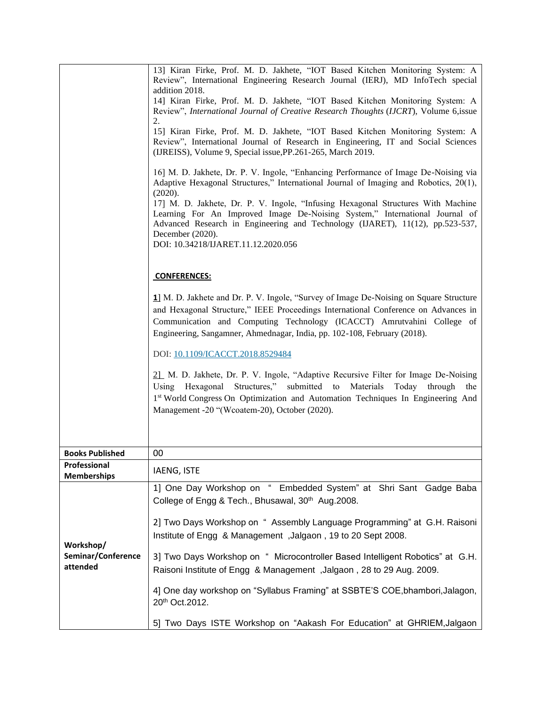|                                    | 13] Kiran Firke, Prof. M. D. Jakhete, "IOT Based Kitchen Monitoring System: A<br>Review", International Engineering Research Journal (IERJ), MD InfoTech special<br>addition 2018.                                                                                                                                                 |
|------------------------------------|------------------------------------------------------------------------------------------------------------------------------------------------------------------------------------------------------------------------------------------------------------------------------------------------------------------------------------|
|                                    | 14] Kiran Firke, Prof. M. D. Jakhete, "IOT Based Kitchen Monitoring System: A                                                                                                                                                                                                                                                      |
|                                    | Review", International Journal of Creative Research Thoughts (IJCRT), Volume 6,issue<br>2.                                                                                                                                                                                                                                         |
|                                    | 15] Kiran Firke, Prof. M. D. Jakhete, "IOT Based Kitchen Monitoring System: A<br>Review", International Journal of Research in Engineering, IT and Social Sciences<br>(IJREISS), Volume 9, Special issue, PP.261-265, March 2019.                                                                                                  |
|                                    | 16] M. D. Jakhete, Dr. P. V. Ingole, "Enhancing Performance of Image De-Noising via<br>Adaptive Hexagonal Structures," International Journal of Imaging and Robotics, 20(1),<br>(2020).                                                                                                                                            |
|                                    | 17] M. D. Jakhete, Dr. P. V. Ingole, "Infusing Hexagonal Structures With Machine<br>Learning For An Improved Image De-Noising System," International Journal of<br>Advanced Research in Engineering and Technology (IJARET), 11(12), pp.523-537,<br>December (2020).<br>DOI: 10.34218/IJARET.11.12.2020.056                        |
|                                    | <b>CONFERENCES:</b>                                                                                                                                                                                                                                                                                                                |
|                                    | 1] M. D. Jakhete and Dr. P. V. Ingole, "Survey of Image De-Noising on Square Structure<br>and Hexagonal Structure," IEEE Proceedings International Conference on Advances in<br>Communication and Computing Technology (ICACCT) Amrutvahini College of<br>Engineering, Sangamner, Ahmednagar, India, pp. 102-108, February (2018). |
|                                    | DOI: 10.1109/ICACCT.2018.8529484                                                                                                                                                                                                                                                                                                   |
|                                    | 21 M. D. Jakhete, Dr. P. V. Ingole, "Adaptive Recursive Filter for Image De-Noising<br>Using Hexagonal Structures," submitted to Materials<br>Today through<br>the<br>1 <sup>st</sup> World Congress On Optimization and Automation Techniques In Engineering And<br>Management -20 "(Wcoatem-20), October (2020).                 |
|                                    |                                                                                                                                                                                                                                                                                                                                    |
| <b>Books Published</b>             | 00                                                                                                                                                                                                                                                                                                                                 |
| Professional<br><b>Memberships</b> | <b>IAENG, ISTE</b>                                                                                                                                                                                                                                                                                                                 |
|                                    | 1] One Day Workshop on " Embedded System" at Shri Sant Gadge Baba<br>College of Engg & Tech., Bhusawal, 30 <sup>th</sup> Aug. 2008.                                                                                                                                                                                                |
| Workshop/                          | 2] Two Days Workshop on " Assembly Language Programming" at G.H. Raisoni<br>Institute of Engg & Management, Jalgaon, 19 to 20 Sept 2008.                                                                                                                                                                                           |
| Seminar/Conference<br>attended     | 3] Two Days Workshop on " Microcontroller Based Intelligent Robotics" at G.H.<br>Raisoni Institute of Engg & Management, Jalgaon, 28 to 29 Aug. 2009.                                                                                                                                                                              |
|                                    | 4] One day workshop on "Syllabus Framing" at SSBTE'S COE, bhambori, Jalagon,<br>20th Oct.2012.                                                                                                                                                                                                                                     |
|                                    | 5] Two Days ISTE Workshop on "Aakash For Education" at GHRIEM, Jalgaon                                                                                                                                                                                                                                                             |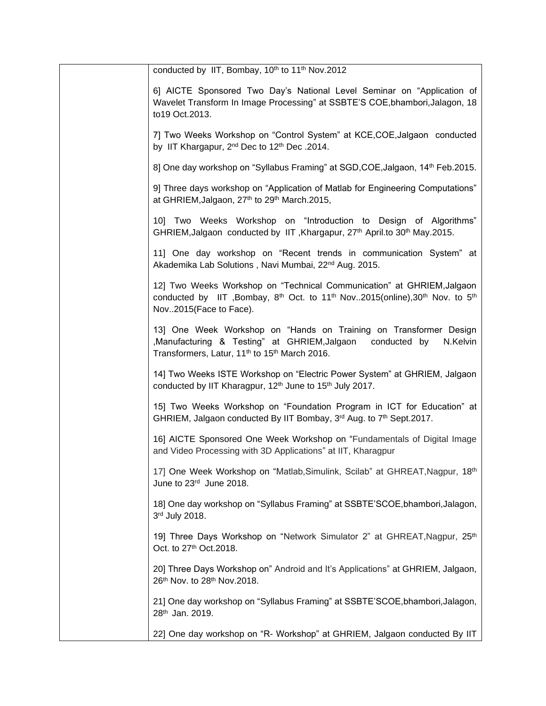| conducted by IIT, Bombay, 10th to 11th Nov.2012                                                                                                                                                                            |
|----------------------------------------------------------------------------------------------------------------------------------------------------------------------------------------------------------------------------|
| 6] AICTE Sponsored Two Day's National Level Seminar on "Application of<br>Wavelet Transform In Image Processing" at SSBTE'S COE, bhambori, Jalagon, 18<br>to19 Oct.2013.                                                   |
| 7] Two Weeks Workshop on "Control System" at KCE, COE, Jalgaon conducted<br>by IIT Khargapur, 2 <sup>nd</sup> Dec to 12 <sup>th</sup> Dec .2014.                                                                           |
| 8] One day workshop on "Syllabus Framing" at SGD, COE, Jalgaon, 14 <sup>th</sup> Feb. 2015.                                                                                                                                |
| 9] Three days workshop on "Application of Matlab for Engineering Computations"<br>at GHRIEM, Jalgaon, 27th to 29th March. 2015,                                                                                            |
| 10] Two Weeks Workshop on "Introduction to Design of Algorithms"<br>GHRIEM, Jalgaon conducted by IIT, Khargapur, 27 <sup>th</sup> April.to 30 <sup>th</sup> May.2015.                                                      |
| 11] One day workshop on "Recent trends in communication System" at<br>Akademika Lab Solutions, Navi Mumbai, 22 <sup>nd</sup> Aug. 2015.                                                                                    |
| 12] Two Weeks Workshop on "Technical Communication" at GHRIEM, Jalgaon<br>conducted by IIT , Bombay, $8^{th}$ Oct. to 11 <sup>th</sup> Nov2015(online), 30 <sup>th</sup> Nov. to 5 <sup>th</sup><br>Nov2015(Face to Face). |
| 13] One Week Workshop on "Hands on Training on Transformer Design<br>,Manufacturing & Testing" at GHRIEM, Jalgaon<br>conducted by<br>N.Kelvin<br>Transformers, Latur, 11 <sup>th</sup> to 15 <sup>th</sup> March 2016.     |
| 14] Two Weeks ISTE Workshop on "Electric Power System" at GHRIEM, Jalgaon<br>conducted by IIT Kharagpur, 12 <sup>th</sup> June to 15 <sup>th</sup> July 2017.                                                              |
| 15] Two Weeks Workshop on "Foundation Program in ICT for Education" at<br>GHRIEM, Jalgaon conducted By IIT Bombay, 3rd Aug. to 7th Sept.2017.                                                                              |
| 16] AICTE Sponsored One Week Workshop on "Fundamentals of Digital Image<br>and Video Processing with 3D Applications" at IIT, Kharagpur                                                                                    |
| 17] One Week Workshop on "Matlab, Simulink, Scilab" at GHREAT, Nagpur, 18 <sup>th</sup><br>June to 23rd June 2018.                                                                                                         |
| 18] One day workshop on "Syllabus Framing" at SSBTE'SCOE, bhambori, Jalagon,<br>3rd July 2018.                                                                                                                             |
| 19] Three Days Workshop on "Network Simulator 2" at GHREAT, Nagpur, 25th<br>Oct. to 27th Oct.2018.                                                                                                                         |
| 20] Three Days Workshop on" Android and It's Applications" at GHRIEM, Jalgaon,<br>26th Nov. to 28th Nov. 2018.                                                                                                             |
| 21] One day workshop on "Syllabus Framing" at SSBTE'SCOE, bhambori, Jalagon,<br>28th Jan. 2019.                                                                                                                            |
| 22] One day workshop on "R- Workshop" at GHRIEM, Jalgaon conducted By IIT                                                                                                                                                  |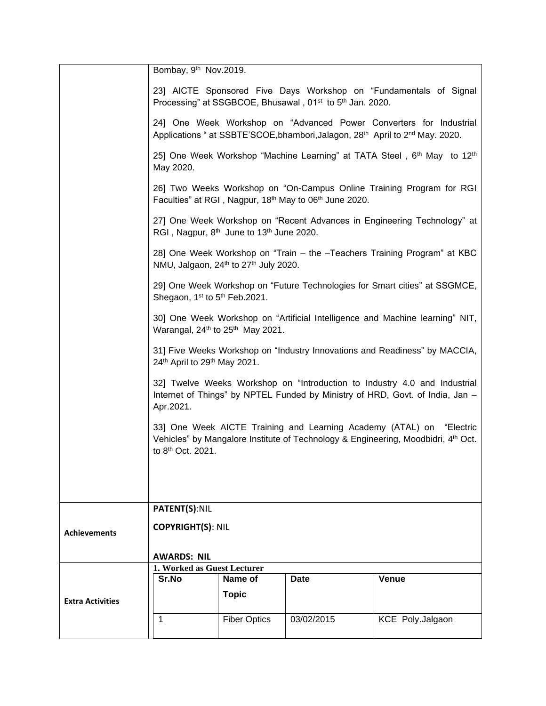|                         | Bombay, 9 <sup>th</sup> Nov.2019.                     |                                                                  |                                                                                  |                                                                                                                                                                             |
|-------------------------|-------------------------------------------------------|------------------------------------------------------------------|----------------------------------------------------------------------------------|-----------------------------------------------------------------------------------------------------------------------------------------------------------------------------|
|                         |                                                       |                                                                  | Processing" at SSGBCOE, Bhusawal, 01 <sup>st</sup> to 5 <sup>th</sup> Jan. 2020. | 23] AICTE Sponsored Five Days Workshop on "Fundamentals of Signal                                                                                                           |
|                         |                                                       |                                                                  |                                                                                  | 24] One Week Workshop on "Advanced Power Converters for Industrial<br>Applications " at SSBTE'SCOE, bhambori, Jalagon, 28 <sup>th</sup> April to 2 <sup>nd</sup> May. 2020. |
|                         | May 2020.                                             |                                                                  |                                                                                  | 25] One Week Workshop "Machine Learning" at TATA Steel, 6th May to 12th                                                                                                     |
|                         |                                                       |                                                                  | Faculties" at RGI, Nagpur, 18th May to 06th June 2020.                           | 26] Two Weeks Workshop on "On-Campus Online Training Program for RGI                                                                                                        |
|                         |                                                       | RGI, Nagpur, 8 <sup>th</sup> June to 13 <sup>th</sup> June 2020. |                                                                                  | 27] One Week Workshop on "Recent Advances in Engineering Technology" at                                                                                                     |
|                         |                                                       | NMU, Jalgaon, 24th to 27th July 2020.                            |                                                                                  | 28] One Week Workshop on "Train – the -Teachers Training Program" at KBC                                                                                                    |
|                         | Shegaon, 1 <sup>st</sup> to 5 <sup>th</sup> Feb.2021. |                                                                  |                                                                                  | 29] One Week Workshop on "Future Technologies for Smart cities" at SSGMCE,                                                                                                  |
|                         |                                                       | Warangal, 24 <sup>th</sup> to 25 <sup>th</sup> May 2021.         |                                                                                  | 30] One Week Workshop on "Artificial Intelligence and Machine learning" NIT,                                                                                                |
|                         | 24th April to 29th May 2021.                          |                                                                  |                                                                                  | 31] Five Weeks Workshop on "Industry Innovations and Readiness" by MACCIA,                                                                                                  |
|                         | Apr.2021.                                             |                                                                  |                                                                                  | 32] Twelve Weeks Workshop on "Introduction to Industry 4.0 and Industrial<br>Internet of Things" by NPTEL Funded by Ministry of HRD, Govt. of India, Jan -                  |
|                         | to 8 <sup>th</sup> Oct. 2021.                         |                                                                  |                                                                                  | 33] One Week AICTE Training and Learning Academy (ATAL) on "Electric<br>Vehicles" by Mangalore Institute of Technology & Engineering, Moodbidri, 4th Oct.                   |
|                         |                                                       |                                                                  |                                                                                  |                                                                                                                                                                             |
|                         | <b>PATENT(S):NIL</b>                                  |                                                                  |                                                                                  |                                                                                                                                                                             |
| <b>Achievements</b>     | <b>COPYRIGHT(S): NIL</b>                              |                                                                  |                                                                                  |                                                                                                                                                                             |
|                         | <b>AWARDS: NIL</b>                                    |                                                                  |                                                                                  |                                                                                                                                                                             |
|                         | 1. Worked as Guest Lecturer                           |                                                                  |                                                                                  |                                                                                                                                                                             |
|                         | Sr.No                                                 | Name of                                                          | Date                                                                             | Venue                                                                                                                                                                       |
| <b>Extra Activities</b> |                                                       | <b>Topic</b>                                                     |                                                                                  |                                                                                                                                                                             |
|                         | 1                                                     | <b>Fiber Optics</b>                                              | 03/02/2015                                                                       | KCE Poly.Jalgaon                                                                                                                                                            |